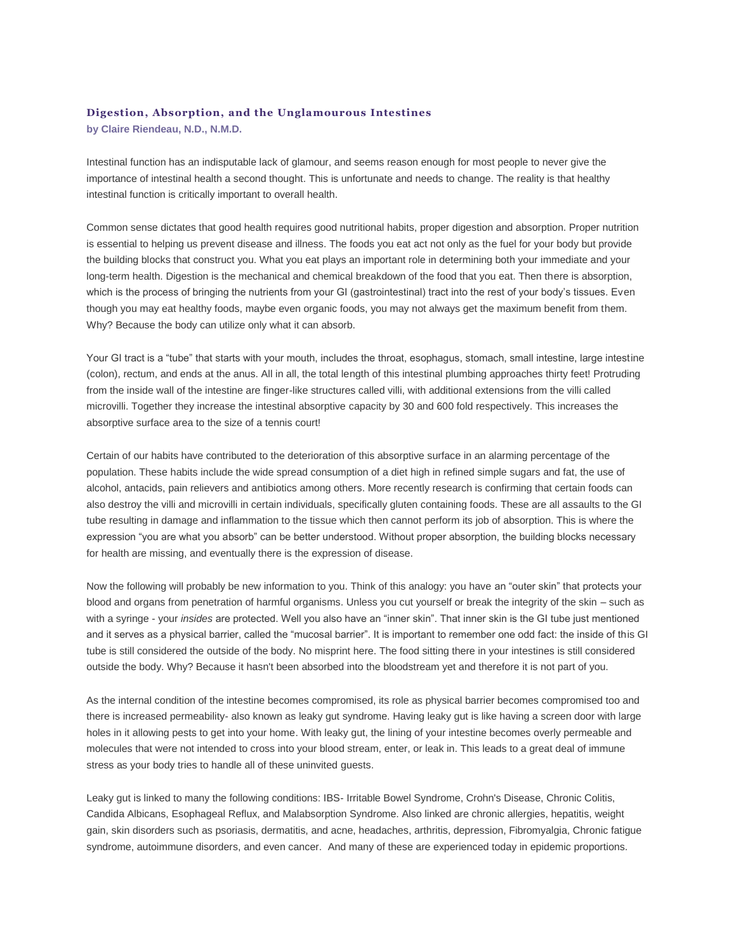## **Digestion, Absorption, and the Unglamourous Intestines**

**by Claire Riendeau, N.D., N.M.D.**

Intestinal function has an indisputable lack of glamour, and seems reason enough for most people to never give the importance of intestinal health a second thought. This is unfortunate and needs to change. The reality is that healthy intestinal function is critically important to overall health.

Common sense dictates that good health requires good nutritional habits, proper digestion and absorption. Proper nutrition is essential to helping us prevent disease and illness. The foods you eat act not only as the fuel for your body but provide the building blocks that construct you. What you eat plays an important role in determining both your immediate and your long-term health. Digestion is the mechanical and chemical breakdown of the food that you eat. Then there is absorption, which is the process of bringing the nutrients from your GI (gastrointestinal) tract into the rest of your body's tissues. Even though you may eat healthy foods, maybe even organic foods, you may not always get the maximum benefit from them. Why? Because the body can utilize only what it can absorb.

Your GI tract is a "tube" that starts with your mouth, includes the throat, esophagus, stomach, small intestine, large intestine (colon), rectum, and ends at the anus. All in all, the total length of this intestinal plumbing approaches thirty feet! Protruding from the inside wall of the intestine are finger-like structures called villi, with additional extensions from the villi called microvilli. Together they increase the intestinal absorptive capacity by 30 and 600 fold respectively. This increases the absorptive surface area to the size of a tennis court!

Certain of our habits have contributed to the deterioration of this absorptive surface in an alarming percentage of the population. These habits include the wide spread consumption of a diet high in refined simple sugars and fat, the use of alcohol, antacids, pain relievers and antibiotics among others. More recently research is confirming that certain foods can also destroy the villi and microvilli in certain individuals, specifically gluten containing foods. These are all assaults to the GI tube resulting in damage and inflammation to the tissue which then cannot perform its job of absorption. This is where the expression "you are what you absorb" can be better understood. Without proper absorption, the building blocks necessary for health are missing, and eventually there is the expression of disease.

Now the following will probably be new information to you. Think of this analogy: you have an "outer skin" that protects your blood and organs from penetration of harmful organisms. Unless you cut yourself or break the integrity of the skin – such as with a syringe - your *insides* are protected. Well you also have an "inner skin". That inner skin is the GI tube just mentioned and it serves as a physical barrier, called the "mucosal barrier". It is important to remember one odd fact: the inside of this GI tube is still considered the outside of the body. No misprint here. The food sitting there in your intestines is still considered outside the body. Why? Because it hasn't been absorbed into the bloodstream yet and therefore it is not part of you.

As the internal condition of the intestine becomes compromised, its role as physical barrier becomes compromised too and there is increased permeability- also known as leaky gut syndrome. Having leaky gut is like having a screen door with large holes in it allowing pests to get into your home. With leaky gut, the lining of your intestine becomes overly permeable and molecules that were not intended to cross into your blood stream, enter, or leak in. This leads to a great deal of immune stress as your body tries to handle all of these uninvited guests.

Leaky gut is linked to many the following conditions: IBS- Irritable Bowel Syndrome, Crohn's Disease, Chronic Colitis, Candida Albicans, Esophageal Reflux, and Malabsorption Syndrome. Also linked are chronic allergies, hepatitis, weight gain, skin disorders such as psoriasis, dermatitis, and acne, headaches, arthritis, depression, Fibromyalgia, Chronic fatigue syndrome, autoimmune disorders, and even cancer. And many of these are experienced today in epidemic proportions.